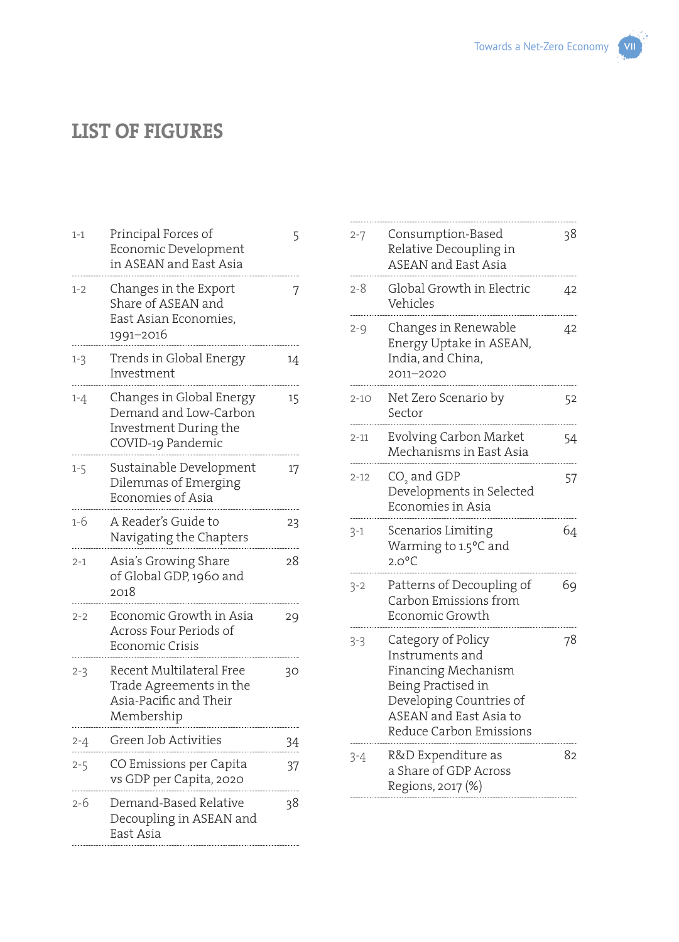## **LIST OF FIGURES**

| $1 - 1$ | Principal Forces of<br>Economic Development<br>in ASEAN and East Asia                           | 5  |
|---------|-------------------------------------------------------------------------------------------------|----|
| $1 - 2$ | Changes in the Export<br>Share of ASEAN and<br>East Asian Economies,<br>1991–2016               | 7  |
| $1 - 3$ | Trends in Global Energy<br>Investment                                                           | 14 |
| $1 - 4$ | Changes in Global Energy<br>Demand and Low-Carbon<br>Investment During the<br>COVID-19 Pandemic | 15 |
| $1 - 5$ | Sustainable Development<br>Dilemmas of Emerging<br>Economies of Asia                            | 17 |
| 1-6     | A Reader's Guide to<br>Navigating the Chapters                                                  | 23 |
| $2 - 1$ | Asia's Growing Share<br>of Global GDP, 1960 and<br>2018                                         | 28 |
| $2 - 2$ | Economic Growth in Asia<br>Across Four Periods of<br>Economic Crisis                            | 29 |
| $2 - 3$ | Recent Multilateral Free<br>Trade Agreements in the<br>Asia-Pacific and Their<br>Membership     | 30 |
| 2-4     | Green Job Activities                                                                            | 34 |
| $2 - 5$ | CO Emissions per Capita<br>vs GDP per Capita, 2020                                              | 37 |
| 2-6     | Demand-Based Relative<br>Decoupling in ASEAN and<br>East Asia                                   | 38 |
|         |                                                                                                 |    |

| 2-7      | Consumption-Based<br>Relative Decoupling in<br><b>ASEAN</b> and East Asia                                                                                                 | 38 |
|----------|---------------------------------------------------------------------------------------------------------------------------------------------------------------------------|----|
| 2-8      | Global Growth in Electric<br>Vehicles                                                                                                                                     | 42 |
| $2 - 9$  | Changes in Renewable<br>Energy Uptake in ASEAN,<br>India, and China,<br>2011-2020                                                                                         | 42 |
| $2 - 10$ | Net Zero Scenario by<br>Sector                                                                                                                                            | 52 |
| $2 - 11$ | <b>Evolving Carbon Market</b><br>Mechanisms in East Asia                                                                                                                  | 54 |
| $2 - 12$ | CO <sub>2</sub> and GDP<br>Developments in Selected<br>Economies in Asia                                                                                                  | 57 |
| $3 - 1$  | Scenarios Limiting<br>Warming to 1.5°C and<br>$2.0^{\circ}$ C                                                                                                             | 64 |
| $3 - 2$  | Patterns of Decoupling of<br>Carbon Emissions from<br>Economic Growth                                                                                                     | 69 |
| $3-3$    | Category of Policy<br>Instruments and<br>Financing Mechanism<br>Being Practised in<br>Developing Countries of<br><b>ASEAN</b> and East Asia to<br>Reduce Carbon Emissions | 78 |
| 3-4      | R&D Expenditure as<br>a Share of GDP Across<br>Regions, 2017 (%)                                                                                                          | 82 |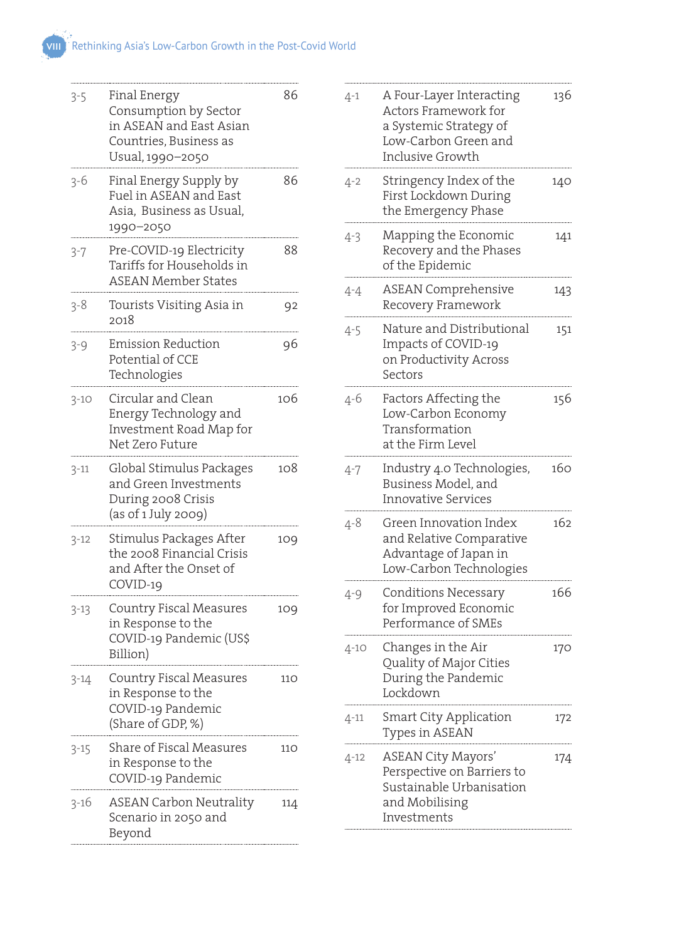| $3 - 5$  | Final Energy<br>Consumption by Sector<br>in ASEAN and East Asian<br>Countries, Business as<br>Usual, 1990-2050 | 86  |
|----------|----------------------------------------------------------------------------------------------------------------|-----|
| 3-6      | Final Energy Supply by<br>Fuel in ASEAN and East<br>Asia, Business as Usual,<br>1990-2050                      | 86  |
| $3 - 7$  | Pre-COVID-19 Electricity<br>Tariffs for Households in<br><b>ASEAN Member States</b>                            | 88  |
| $3 - 8$  | Tourists Visiting Asia in<br>2018                                                                              | 92  |
| $3 - 9$  | <b>Emission Reduction</b><br>Potential of CCE<br>Technologies                                                  | 96  |
| $3 - 10$ | Circular and Clean<br>Energy Technology and<br>Investment Road Map for<br>Net Zero Future                      | 106 |
| $3 - 11$ | Global Stimulus Packages<br>and Green Investments<br>During 2008 Crisis<br>(as of 1 July 2009)                 | 108 |
| $3 - 12$ | Stimulus Packages After<br>the 2008 Financial Crisis<br>and After the Onset of<br>COVID-19                     | 109 |
| $3 - 13$ | Country Fiscal Measures<br>in Response to the<br>COVID-19 Pandemic (US\$<br>Billion)                           | 109 |
| 3-14     | Country Fiscal Measures<br>in Response to the<br>COVID-19 Pandemic<br>(Share of GDP, %)                        | 110 |
| $3 - 15$ | Share of Fiscal Measures<br>in Response to the<br>COVID-19 Pandemic                                            | 110 |
| $3 - 16$ | <b>ASEAN Carbon Neutrality</b><br>Scenario in 2050 and                                                         | 114 |

| $4 - 1$  | A Four-Layer Interacting<br>Actors Framework for<br>a Systemic Strategy of<br>Low-Carbon Green and<br>Inclusive Growth | 136 |
|----------|------------------------------------------------------------------------------------------------------------------------|-----|
| 4-2      | Stringency Index of the<br>First Lockdown During<br>the Emergency Phase                                                | 140 |
| $4 - 3$  | Mapping the Economic<br>Recovery and the Phases<br>of the Epidemic                                                     | 141 |
| $4 - 4$  | <b>ASEAN Comprehensive</b><br>Recovery Framework                                                                       | 143 |
| $4 - 5$  | Nature and Distributional<br>Impacts of COVID-19<br>on Productivity Across<br>Sectors                                  | 151 |
| $4 - 6$  | Factors Affecting the<br>Low-Carbon Economy<br>Transformation<br>at the Firm Level                                     | 156 |
| 4-7      | Industry 4.0 Technologies,<br>Business Model, and<br><b>Innovative Services</b>                                        | 160 |
| $4 - 8$  | Green Innovation Index<br>and Relative Comparative<br>Advantage of Japan in<br>Low-Carbon Technologies                 | 162 |
| $4 - 9$  | <b>Conditions Necessary</b><br>for Improved Economic<br>Performance of SMEs                                            | 166 |
| $4 - 10$ | Changes in the Air<br>Quality of Major Cities<br>During the Pandemic<br>Lockdown                                       | 170 |
| $4 - 11$ | Smart City Application<br>Types in ASEAN                                                                               | 172 |
| 4-12     | <b>ASEAN City Mayors'</b><br>Perspective on Barriers to<br>Sustainable Urbanisation<br>and Mobilising<br>Investments   | 174 |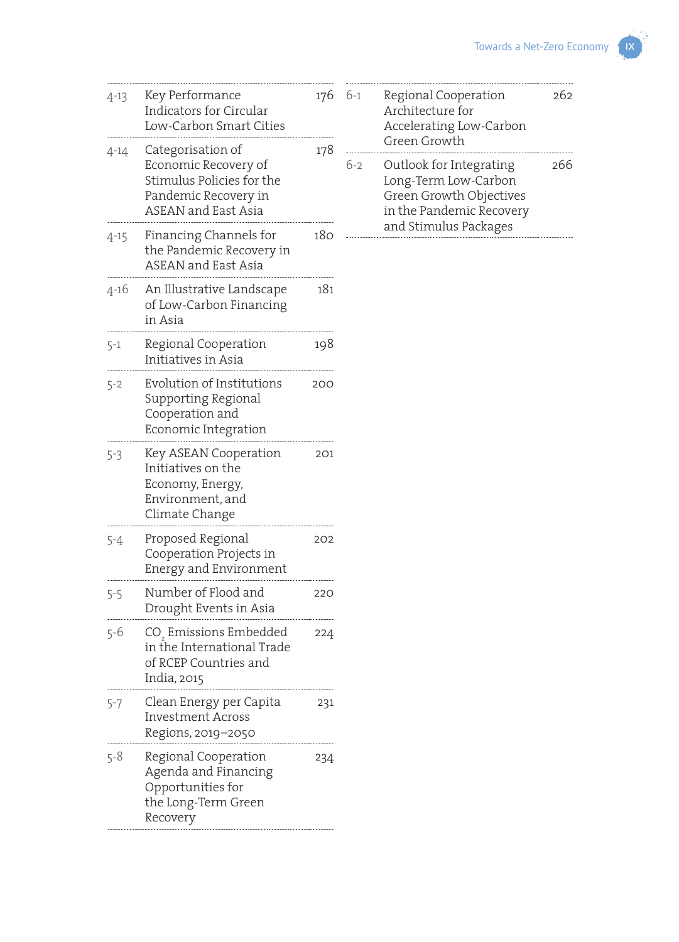| $4 - 13$ | Key Performance<br><b>Indicators for Circular</b><br>Low-Carbon Smart Cities                                                 | 176 |
|----------|------------------------------------------------------------------------------------------------------------------------------|-----|
| $4 - 14$ | Categorisation of<br>Economic Recovery of<br>Stimulus Policies for the<br>Pandemic Recovery in<br><b>ASEAN</b> and East Asia | 178 |
| $4 - 15$ | Financing Channels for<br>the Pandemic Recovery in<br><b>ASEAN</b> and East Asia                                             | 180 |
| 4-16     | An Illustrative Landscape<br>of Low-Carbon Financing<br>in Asia                                                              | 181 |
| $5 - 1$  | Regional Cooperation<br>Initiatives in Asia                                                                                  | 198 |
| $5 - 2$  | Evolution of Institutions<br>Supporting Regional<br>Cooperation and<br>Economic Integration                                  | 200 |
| 5-3      | Key ASEAN Cooperation<br>Initiatives on the<br>Economy, Energy,<br>Environment, and<br>Climate Change                        | 201 |
| $5 - 4$  | Proposed Regional<br>Cooperation Projects in<br>Energy and Environment                                                       | 202 |
| $5 - 5$  | Number of Flood and<br>Drought Events in Asia                                                                                | 220 |
| $5 - 6$  | CO <sub>,</sub> Emissions Embedded<br>in the International Trade<br>of RCEP Countries and<br>India, 2015                     | 224 |
| 5-7      | Clean Energy per Capita<br><b>Investment Across</b><br>Regions, 2019-2050                                                    | 231 |
| $5 - 8$  | Regional Cooperation<br>Agenda and Financing<br>Opportunities for<br>the Long-Term Green<br>Recovery                         | 234 |

| $6-1$ | Regional Cooperation<br>Architecture for<br>Accelerating Low-Carbon<br>Green Growth                                             | วค์ว |
|-------|---------------------------------------------------------------------------------------------------------------------------------|------|
| $6-2$ | Outlook for Integrating<br>Long-Term Low-Carbon<br>Green Growth Objectives<br>in the Pandemic Recovery<br>and Stimulus Packages | 266  |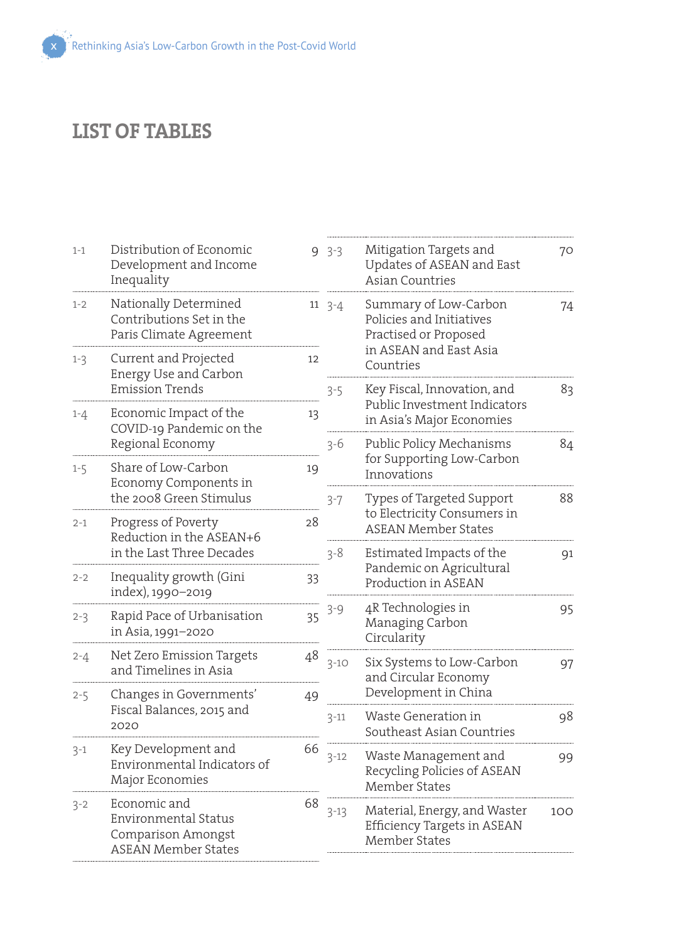## **LIST OF TABLES**

| $1 - 1$ | Distribution of Economic<br>Development and Income<br>Inequality                                |                          | $9.3 - 3$  | Mitigation Targets and<br>Updates of ASEAN and East<br><b>Asian Countries</b>            | 70  |
|---------|-------------------------------------------------------------------------------------------------|--------------------------|------------|------------------------------------------------------------------------------------------|-----|
| $1 - 2$ | Nationally Determined<br>Contributions Set in the<br>Paris Climate Agreement                    |                          | $11 \t3-4$ | Summary of Low-Carbon<br>Policies and Initiatives<br>Practised or Proposed               | 74  |
| $1 - 3$ | Current and Projected<br>Energy Use and Carbon                                                  | 12                       |            | in ASEAN and East Asia<br>Countries                                                      |     |
| $1 - 4$ | Emission Trends<br>Economic Impact of the<br>COVID-19 Pandemic on the                           | 13                       | $3 - 5$    | Key Fiscal, Innovation, and<br>Public Investment Indicators<br>in Asia's Major Economies | 83  |
|         | Regional Economy                                                                                |                          | $3 - 6$    | Public Policy Mechanisms                                                                 | 84  |
| $1 - 5$ | Share of Low-Carbon<br>Economy Components in                                                    | 19                       |            | for Supporting Low-Carbon<br>Innovations                                                 |     |
|         | the 2008 Green Stimulus                                                                         |                          | $3 - 7$    | Types of Targeted Support                                                                | 88  |
| $2 - 1$ | Progress of Poverty<br>28<br>Reduction in the ASEAN+6<br>in the Last Three Decades<br>$3 - 8$   |                          |            | to Electricity Consumers in<br><b>ASEAN Member States</b>                                |     |
|         |                                                                                                 | Estimated Impacts of the | 91         |                                                                                          |     |
| $2 - 2$ | Inequality growth (Gini<br>index), 1990-2019                                                    | 33                       |            | Pandemic on Agricultural<br>Production in ASEAN                                          |     |
| $2 - 3$ | Rapid Pace of Urbanisation<br>in Asia, 1991-2020                                                | 35                       | $3 - 9$    | 4R Technologies in<br>Managing Carbon<br>Circularity                                     | 95  |
| $2 - 4$ | Net Zero Emission Targets<br>and Timelines in Asia                                              | 48                       | $3 - 10$   | Six Systems to Low-Carbon<br>and Circular Economy                                        | 97  |
| $2 - 5$ | Changes in Governments'                                                                         | 49                       |            | Development in China                                                                     |     |
|         | Fiscal Balances, 2015 and<br>2020                                                               |                          | $3 - 11$   | Waste Generation in<br>Southeast Asian Countries                                         | 98  |
| $3 - 1$ | Key Development and<br>Environmental Indicators of<br>Major Economies                           | 66                       | $3 - 12$   | Waste Management and<br>Recycling Policies of ASEAN<br>Member States                     | 99  |
| $3 - 2$ | Economic and<br><b>Environmental Status</b><br>Comparison Amongst<br><b>ASEAN Member States</b> | 68                       | $3 - 13$   | Material, Energy, and Waster<br>Efficiency Targets in ASEAN<br><b>Member States</b>      | 100 |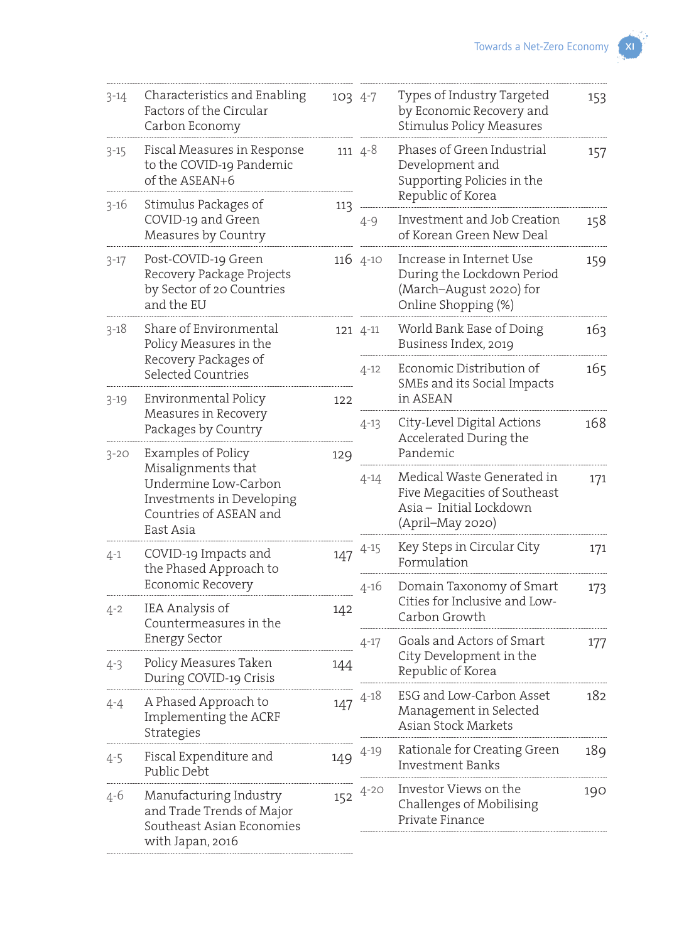| $3 - 14$ | Characteristics and Enabling<br>Factors of the Circular<br>Carbon Economy                                      | 103 4-7 |             | Types of Industry Targeted<br>by Economic Recovery and<br><b>Stimulus Policy Measures</b>                 | 153 |
|----------|----------------------------------------------------------------------------------------------------------------|---------|-------------|-----------------------------------------------------------------------------------------------------------|-----|
| $3 - 15$ | Fiscal Measures in Response<br>to the COVID-19 Pandemic<br>of the ASEAN+6                                      |         | 111 $4 - 8$ | Phases of Green Industrial<br>Development and<br>Supporting Policies in the                               | 157 |
| $3 - 16$ | Stimulus Packages of<br>COVID-19 and Green<br>Measures by Country                                              | 113     | $4 - 9$     | Republic of Korea<br>Investment and Job Creation<br>of Korean Green New Deal                              | 158 |
| $3 - 17$ | Post-COVID-19 Green<br>Recovery Package Projects<br>by Sector of 20 Countries<br>and the EU                    |         | $116$ 4-10  | Increase in Internet Use<br>During the Lockdown Period<br>(March-August 2020) for<br>Online Shopping (%)  | 159 |
| $3 - 18$ | Share of Environmental<br>Policy Measures in the                                                               |         | 121 4-11    | World Bank Ease of Doing<br>Business Index, 2019                                                          | 163 |
|          | Recovery Packages of<br>Selected Countries<br>Environmental Policy                                             |         | $4 - 12$    | Economic Distribution of<br>SMEs and its Social Impacts<br>in ASEAN                                       | 165 |
| $3 - 19$ | Measures in Recovery<br>Packages by Country                                                                    | 122     | $4 - 13$    | City-Level Digital Actions<br>Accelerated During the                                                      | 168 |
| $3 - 20$ | Examples of Policy                                                                                             | 129     |             | Pandemic                                                                                                  |     |
|          | Misalignments that<br>Undermine Low-Carbon<br>Investments in Developing<br>Countries of ASEAN and<br>East Asia |         | $4 - 14$    | Medical Waste Generated in<br>Five Megacities of Southeast<br>Asia - Initial Lockdown<br>(April–May 2020) | 171 |
| $4 - 1$  | COVID-19 Impacts and<br>the Phased Approach to                                                                 | 147     | $4 - 15$    | Key Steps in Circular City<br>Formulation                                                                 | 171 |
| $4 - 2$  | Economic Recovery<br>IEA Analysis of<br>Countermeasures in the                                                 | 142     | $4 - 16$    | Domain Taxonomy of Smart<br>Cities for Inclusive and Low-<br>Carbon Growth                                | 173 |
|          | <b>Energy Sector</b>                                                                                           |         | $4 - 17$    | Goals and Actors of Smart                                                                                 | 177 |
| $4 - 3$  | Policy Measures Taken<br>During COVID-19 Crisis                                                                | 144     |             | City Development in the<br>Republic of Korea                                                              |     |
| 4-4      | A Phased Approach to<br>Implementing the ACRF<br>Strategies                                                    | 147     | $4 - 18$    | ESG and Low-Carbon Asset<br>Management in Selected<br>Asian Stock Markets                                 | 182 |
| 4-5      | Fiscal Expenditure and<br>Public Debt                                                                          | 149     | $4 - 19$    | Rationale for Creating Green<br><b>Investment Banks</b>                                                   | 189 |
| $4 - 6$  | Manufacturing Industry<br>and Trade Trends of Major<br>Southeast Asian Economies<br>with Japan, 2016           | 152     | $4 - 20$    | Investor Views on the<br>Challenges of Mobilising<br>Private Finance                                      | 190 |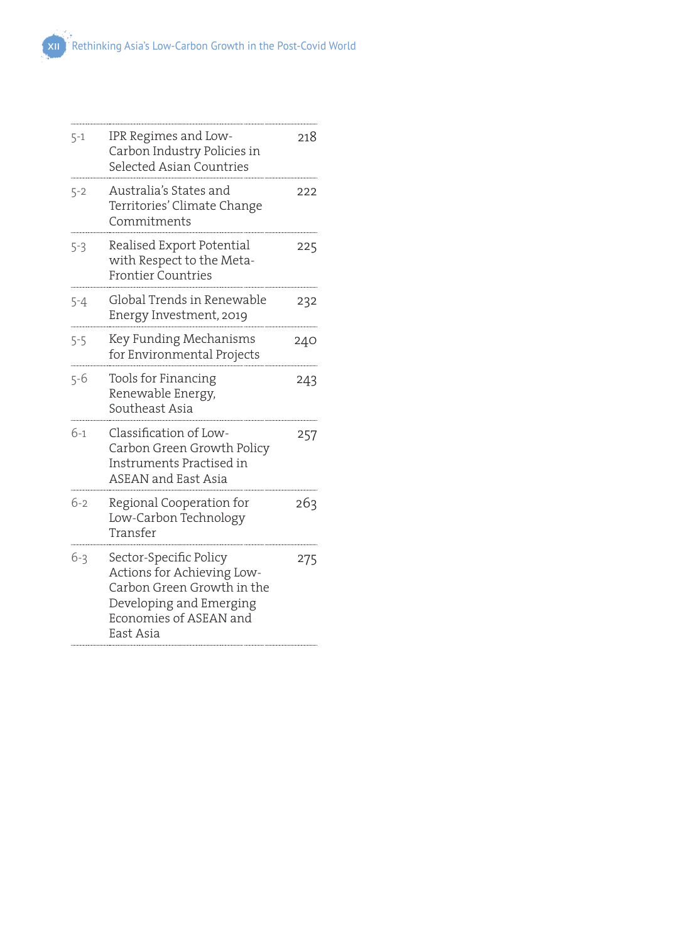| $5 - 1$ | IPR Regimes and Low-<br>Carbon Industry Policies in<br>Selected Asian Countries                                                                      | 218 |
|---------|------------------------------------------------------------------------------------------------------------------------------------------------------|-----|
| 5-2     | Australia's States and<br>Territories' Climate Change<br>Commitments                                                                                 | 222 |
| 5-3     | Realised Export Potential<br>with Respect to the Meta-<br><b>Frontier Countries</b>                                                                  | 225 |
| $5 - 4$ | Global Trends in Renewable<br>Energy Investment, 2019                                                                                                | 232 |
| $5 - 5$ | Key Funding Mechanisms<br>for Environmental Projects                                                                                                 | 240 |
| $5 - 6$ | Tools for Financing<br>Renewable Energy,<br>Southeast Asia                                                                                           | 243 |
| $6-1$   | Classification of Low-<br>Carbon Green Growth Policy<br>Instruments Practised in<br><b>ASEAN</b> and East Asia                                       | 257 |
| $6 - 2$ | Regional Cooperation for<br>Low-Carbon Technology<br>Transfer                                                                                        | 263 |
| $6 - 3$ | Sector-Specific Policy<br>Actions for Achieving Low-<br>Carbon Green Growth in the<br>Developing and Emerging<br>Economies of ASEAN and<br>East Asia | 275 |